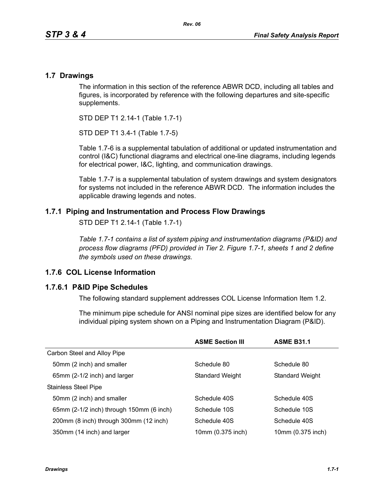### **1.7 Drawings**

The information in this section of the reference ABWR DCD, including all tables and figures, is incorporated by reference with the following departures and site-specific supplements.

STD DEP T1 2.14-1 (Table 1.7-1)

STD DEP T1 3.4-1 (Table 1.7-5)

Table [1.7-6](#page-3-0) is a supplemental tabulation of additional or updated instrumentation and control (I&C) functional diagrams and electrical one-line diagrams, including legends for electrical power, I&C, lighting, and communication drawings.

Table 1.7-7 is a supplemental tabulation of system drawings and system designators for systems not included in the reference ABWR DCD. The information includes the applicable drawing legends and notes.

## **1.7.1 Piping and Instrumentation and Process Flow Drawings**

STD DEP T1 2.14-1 (Table 1.7-1)

*Table 1.7-1 contains a list of system piping and instrumentation diagrams (P&ID) and process flow diagrams (PFD) provided in Tier 2. Figure 1.7-1, sheets 1 and 2 define the symbols used on these drawings.*

## **1.7.6 COL License Information**

#### **1.7.6.1 P&ID Pipe Schedules**

The following standard supplement addresses COL License Information Item 1.2.

The minimum pipe schedule for ANSI nominal pipe sizes are identified below for any individual piping system shown on a Piping and Instrumentation Diagram (P&ID).

|                                          | <b>ASME Section III</b> | <b>ASME B31.1</b> |
|------------------------------------------|-------------------------|-------------------|
| Carbon Steel and Alloy Pipe              |                         |                   |
| 50mm (2 inch) and smaller                | Schedule 80             | Schedule 80       |
| 65mm (2-1/2 inch) and larger             | <b>Standard Weight</b>  | Standard Weight   |
| <b>Stainless Steel Pipe</b>              |                         |                   |
| 50mm (2 inch) and smaller                | Schedule 40S            | Schedule 40S      |
| 65mm (2-1/2 inch) through 150mm (6 inch) | Schedule 10S            | Schedule 10S      |
| 200mm (8 inch) through 300mm (12 inch)   | Schedule 40S            | Schedule 40S      |
| 350mm (14 inch) and larger               | 10mm (0.375 inch)       | 10mm (0.375 inch) |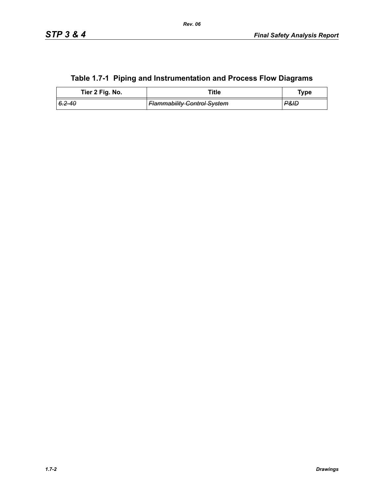|                 | Table 1.7-1 Piping and instrumentation and Process Flow Diagrams |             |
|-----------------|------------------------------------------------------------------|-------------|
| Tier 2 Fig. No. | Title                                                            | <b>Type</b> |

|  |  | Table 1.7-1 Piping and Instrumentation and Process Flow Diagrams |  |  |
|--|--|------------------------------------------------------------------|--|--|
|--|--|------------------------------------------------------------------|--|--|

*6.2-40 Flammability Control System P&ID*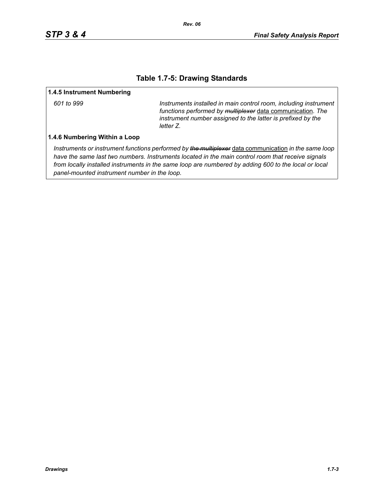### **Table 1.7-5: Drawing Standards**

#### **1.4.5 Instrument Numbering**

*601 to 999 Instruments installed in main control room, including instrument functions performed by multiplexer* data communication*. The instrument number assigned to the latter is prefixed by the letter Z.*

#### **1.4.6 Numbering Within a Loop**

*Instruments or instrument functions performed by the multiplexer* data communication *in the same loop have the same last two numbers. Instruments located in the main control room that receive signals from locally installed instruments in the same loop are numbered by adding 600 to the local or local panel-mounted instrument number in the loop.*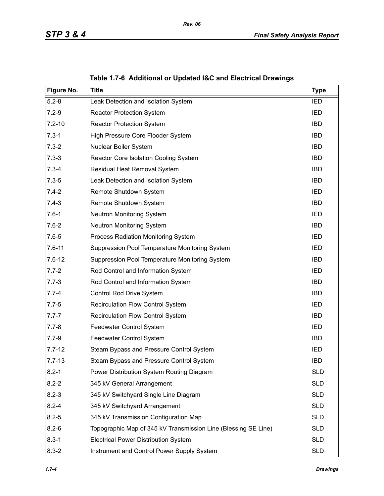<span id="page-3-0"></span>

| Figure No. | <b>Title</b>                                                   | <b>Type</b> |
|------------|----------------------------------------------------------------|-------------|
| $5.2 - 8$  | Leak Detection and Isolation System                            | <b>IED</b>  |
| $7.2 - 9$  | <b>Reactor Protection System</b>                               | IED         |
| $7.2 - 10$ | <b>Reactor Protection System</b>                               | <b>IBD</b>  |
| $7.3 - 1$  | High Pressure Core Flooder System                              | <b>IBD</b>  |
| $7.3 - 2$  | Nuclear Boiler System                                          | <b>IBD</b>  |
| $7.3 - 3$  | Reactor Core Isolation Cooling System                          | <b>IBD</b>  |
| $7.3 - 4$  | Residual Heat Removal System                                   | <b>IBD</b>  |
| $7.3 - 5$  | Leak Detection and Isolation System                            | <b>IBD</b>  |
| $7.4 - 2$  | Remote Shutdown System                                         | IED         |
| $7.4 - 3$  | Remote Shutdown System                                         | <b>IBD</b>  |
| $7.6 - 1$  | <b>Neutron Monitoring System</b>                               | IED         |
| $7.6 - 2$  | Neutron Monitoring System                                      | <b>IBD</b>  |
| $7.6 - 5$  | Process Radiation Monitoring System                            | IED         |
| $7.6 - 11$ | Suppression Pool Temperature Monitoring System                 | <b>IED</b>  |
| $7.6 - 12$ | Suppression Pool Temperature Monitoring System                 | <b>IBD</b>  |
| $7.7 - 2$  | Rod Control and Information System                             | <b>IED</b>  |
| $7.7 - 3$  | Rod Control and Information System                             | <b>IBD</b>  |
| $7.7 - 4$  | Control Rod Drive System                                       | <b>IBD</b>  |
| $7.7 - 5$  | <b>Recirculation Flow Control System</b>                       | IED         |
| $7.7 - 7$  | <b>Recirculation Flow Control System</b>                       | <b>IBD</b>  |
| $7.7 - 8$  | Feedwater Control System                                       | <b>IED</b>  |
| $7.7 - 9$  | Feedwater Control System                                       | <b>IBD</b>  |
| $7.7 - 12$ | Steam Bypass and Pressure Control System                       | IED         |
| $7.7 - 13$ | Steam Bypass and Pressure Control System                       | <b>IBD</b>  |
| $8.2 - 1$  | Power Distribution System Routing Diagram                      | <b>SLD</b>  |
| $8.2 - 2$  | 345 kV General Arrangement                                     | <b>SLD</b>  |
| $8.2 - 3$  | 345 kV Switchyard Single Line Diagram                          | <b>SLD</b>  |
| $8.2 - 4$  | 345 kV Switchyard Arrangement                                  | <b>SLD</b>  |
| $8.2 - 5$  | 345 kV Transmission Configuration Map                          | <b>SLD</b>  |
| $8.2 - 6$  | Topographic Map of 345 kV Transmission Line (Blessing SE Line) | <b>SLD</b>  |
| $8.3 - 1$  | <b>Electrical Power Distribution System</b>                    | <b>SLD</b>  |
| $8.3 - 2$  | Instrument and Control Power Supply System                     | <b>SLD</b>  |

**Table 1.7-6 Additional or Updated I&C and Electrical Drawings**